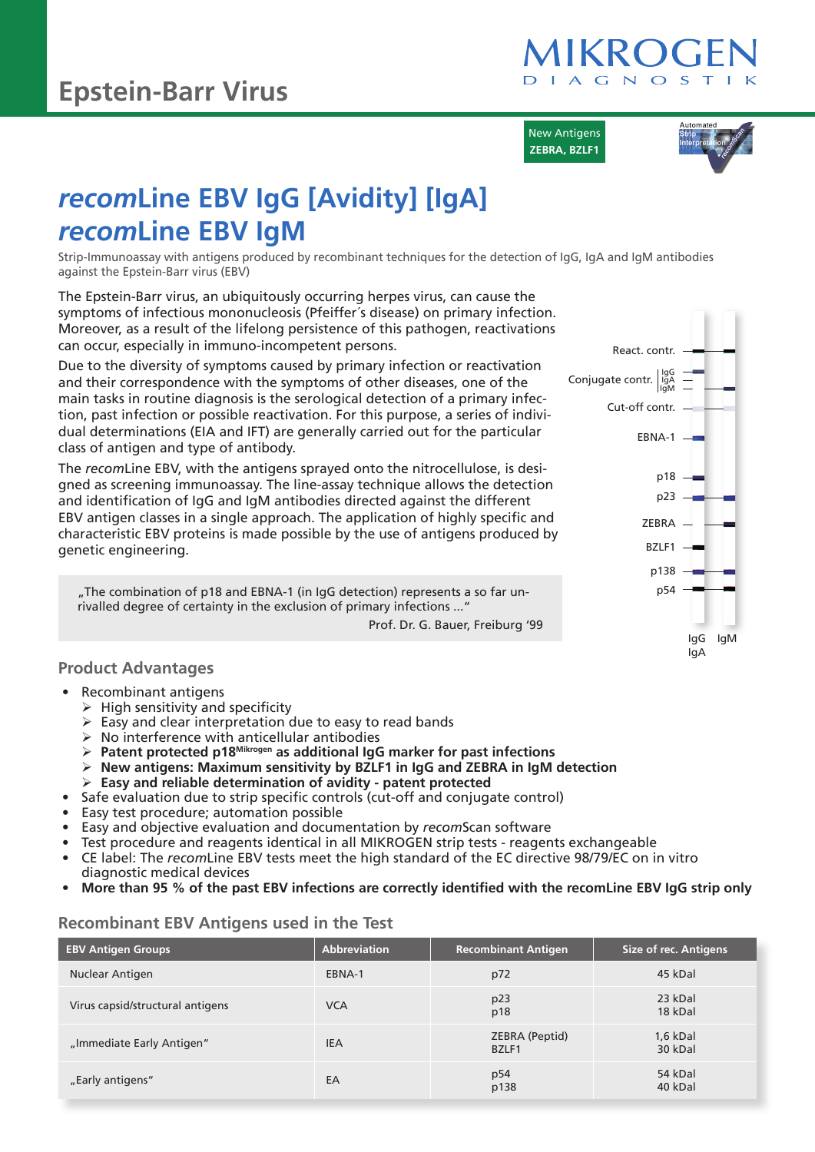

New Antigens **ZEBRA, BZLF1**



# *recom***Line EBV IgG [Avidity] [IgA]** *recom***Line EBV IgM**

Strip-Immunoassay with antigens produced by recombinant techniques for the detection of IgG, IgA and IgM antibodies against the Epstein-Barr virus (EBV)

The Epstein-Barr virus, an ubiquitously occurring herpes virus, can cause the symptoms of infectious mononucleosis (Pfeiffer´s disease) on primary infection. Moreover, as a result of the lifelong persistence of this pathogen, reactivations can occur, especially in immuno-incompetent persons.

Due to the diversity of symptoms caused by primary infection or reactivation and their correspondence with the symptoms of other diseases, one of the main tasks in routine diagnosis is the serological detection of a primary infection, past infection or possible reactivation. For this purpose, a series of individual determinations (EIA and IFT) are generally carried out for the particular class of antigen and type of antibody.

The *recom*Line EBV, with the antigens sprayed onto the nitrocellulose, is designed as screening immunoassay. The line-assay technique allows the detection and identification of IgG and IgM antibodies directed against the different EBV antigen classes in a single approach. The application of highly specific and characteristic EBV proteins is made possible by the use of antigens produced by genetic engineering.

"The combination of p18 and EBNA-1 (in IgG detection) represents a so far unrivalled degree of certainty in the exclusion of primary infections ..."

Prof. Dr. G. Bauer, Freiburg '99

#### **Product Advantages**

- Recombinant antigens
	- $\triangleright$  High sensitivity and specificity
	- $\triangleright$  Easy and clear interpretation due to easy to read bands
	- $\triangleright$  No interference with anticellular antibodies
	- ¾ **Patent protected p18Mikrogen as additional IgG marker for past infections**
	- ¾ **New antigens: Maximum sensitivity by BZLF1 in IgG and ZEBRA in IgM detection**
	- ¾ **Easy and reliable determination of avidity patent protected**
- Safe evaluation due to strip specific controls (cut-off and conjugate control)
- Easy test procedure; automation possible
- Easy and objective evaluation and documentation by *recom*Scan software
- Test procedure and reagents identical in all MIKROGEN strip tests reagents exchangeable
- CE label: The *recom*Line EBV tests meet the high standard of the EC directive 98/79/EC on in vitro diagnostic medical devices
- **More than 95 % of the past EBV infections are correctly identified with the recomLine EBV IgG strip only**

## **Recombinant EBV Antigens used in the Test**

| <b>EBV Antigen Groups</b>        | <b>Abbreviation</b> | <b>Recombinant Antigen</b> | Size of rec. Antigens |
|----------------------------------|---------------------|----------------------------|-----------------------|
| Nuclear Antigen                  | EBNA-1              | p72                        | 45 kDal               |
| Virus capsid/structural antigens | <b>VCA</b>          | p23<br>p18                 | 23 kDal<br>18 kDal    |
| "Immediate Early Antigen"        | <b>IEA</b>          | ZEBRA (Peptid)<br>BZLF1    | 1,6 kDal<br>30 kDal   |
| "Early antigens"                 | EA                  | p54<br>p138                | 54 kDal<br>40 kDal    |